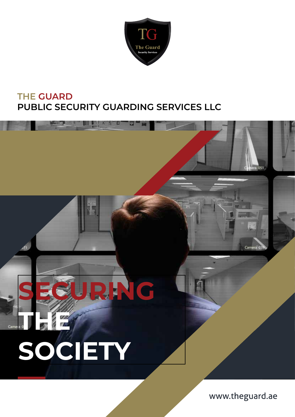

### **THE GUARD PUBLIC SECURITY GUARDING SERVICES LLC**



www.theguard.ae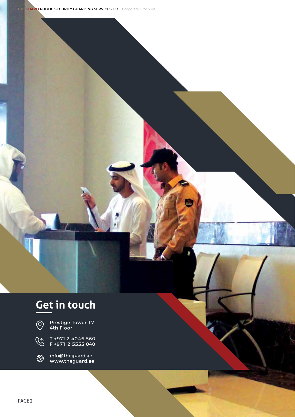### **Get in touch**



Prestige Tower 17<br>4th Floor

T +971 2 4046 560<br>F +971 2 5555 040  $\widehat{\mathcal{C}}$ 

info@theguard.ae<br>www.theguard.ae  $\bigotimes_{\kappa}$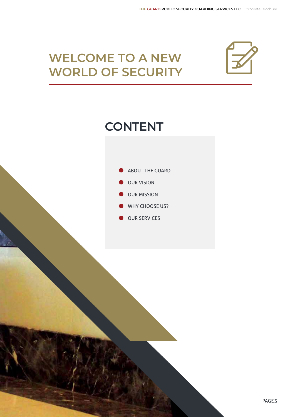### **WELCOME TO A NEW WORLD OF SECURITY**



### **CONTENT**

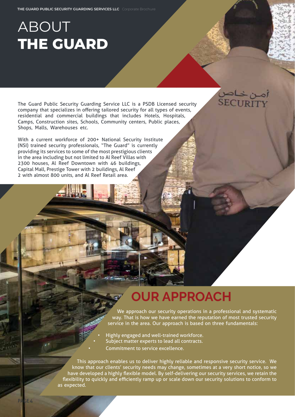## ABOUT **THE GUARD**

The Guard Public Security Guarding Service LLC is a PSDB Licensed security company that specializes in offering tailored security for all types of events, residential and commercial buildings that includes Hotels, Hospitals, Camps, Construction sites, Schools, Community centers, Public places, Shops, Malls, Warehouses etc.

With a current workforce of 200+ National Security Institute (NSI) trained security professionals, "The Guard" is currently providing its services to some of the most prestigious clients in the area including but not limited to Al Reef Villas with 2300 houses, Al Reef Downtown with 46 buildings, Capital Mall, Prestige Tower with 2 buildings, Al Reef 2 with almost 800 units, and Al Reef Retail area.



### **OUR APPROACH**

We approach our security operations in a professional and systematic way. That is how we have earned the reputation of most trusted security service in the area. Our approach is based on three fundamentals:

Highly engaged and well-trained workforce. Subject matter experts to lead all contracts. • Commitment to service excellence.

This approach enables us to deliver highly reliable and responsive security service. We know that our clients' security needs may change, sometimes at a very short notice, so we have developed a highly flexible model. By self-delivering our security services, we retain the flexibility to quickly and efficiently ramp up or scale down our security solutions to conform to as expected.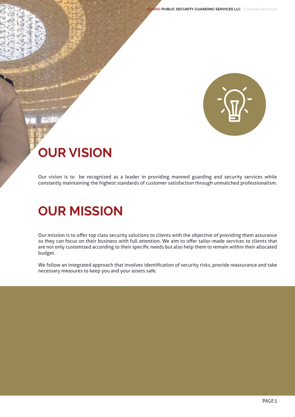**THE GUARD PUBLIC SECURITY GUARDING SERVICES LLC** Corporate Brochure



# **OUR VISION**

Our vision is to be recognized as a leader in providing manned guarding and security services while constantly maintaining the highest standards of customer satisfaction through unmatched professionalism.

### **OUR MISSION**

Our mission is to offer top class security solutions to clients with the objective of providing them assurance so they can focus on their business with full attention. We aim to offer tailor-made services to clients that are not only customized according to their specific needs but also help them to remain within their allocated budget.

We follow an integrated approach that involves identification of security risks, provide reassurance and take necessary measures to keep you and your assets safe.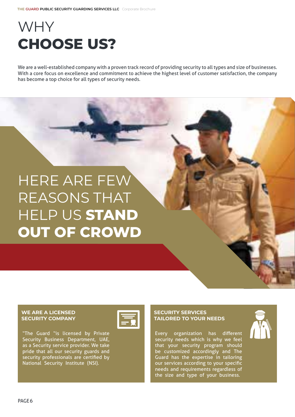# WHY **CHOOSE US?**

We are a well-established company with a proven track record of providing security to all types and size of businesses. With a core focus on excellence and commitment to achieve the highest level of customer satisfaction, the company has become a top choice for all types of security needs.

# HERE ARE FEW REASONS THAT HELP US **STAND OUT OF CROWD**

#### **WE ARE A LICENSED SECURITY COMPANY**



"The Guard "is licensed by Private Security Business Department, UAE, as a Security service provider. We take pride that all our security guards and security professionals are certified by National Security Institute (NSI).

#### **SECURITY SERVICES TAILORED TO YOUR NEEDS**

Every organization has different security needs which is why we feel that your security program should be customized accordingly and The Guard has the expertise in tailoring our services according to your specific needs and requirements regardless of the size and type of your business.

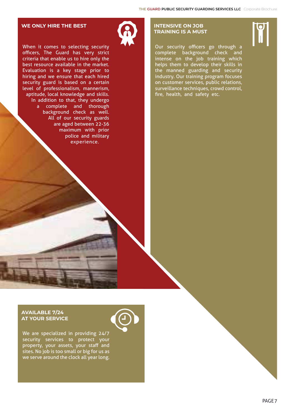#### **WE ONLY HIRE THE BEST**

When it comes to selecting security officers, The Guard has very strict criteria that enable us to hire only the best resource available in the market. Evaluation is a key stage prior to hiring and we ensure that each hired security guard is based on a certain level of professionalism, mannerism, aptitude, local knowledge and skills. In addition to that, they undergo a complete and thorough background check as well. All of our security guards are aged between 22-36 maximum with prior police and military experience.

#### **INTENSIVE ON JOB TRAINING IS A MUST**

Our security officers go through a complete background check and intense on the job training which helps them to develop their skills in the manned guarding and security industry. Our training program focuses on customer services, public relations, surveillance techniques, crowd control, fire, health, and safety etc.

#### **AVAILABLE 7/24 AT YOUR SERVICE**

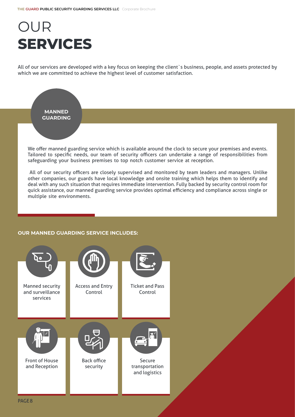# OUR **SERVICES**

All of our services are developed with a key focus on keeping the client`s business, people, and assets protected by which we are committed to achieve the highest level of customer satisfaction.



other companies, our guards have local knowledge and onsite training which helps them to identify and deal with any such situation that requires immediate intervention. Fully backed by security control room for quick assistance, our manned guarding service provides optimal efficiency and compliance across single or multiple site environments.

#### **OUR MANNED GUARDING SERVICE INCLUDES:**



PAGE8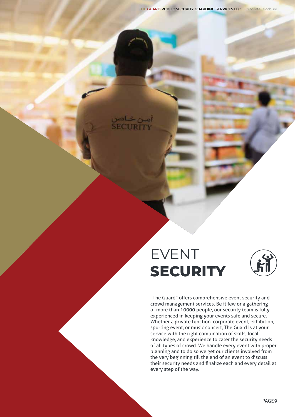**THE GUARD PUBLIC SECURITY GUARDING SERVICES LLC** Corporate Brochure

### EVENT **SECURITY**

أمين خياص<br>SECURITY



"The Guard" offers comprehensive event security and crowd management services. Be it few or a gathering of more than 10000 people, our security team is fully experienced in keeping your events safe and secure. Whether a private function, corporate event, exhibition, sporting event, or music concert, The Guard is at your service with the right combination of skills, local knowledge, and experience to cater the security needs of all types of crowd. We handle every event with proper planning and to do so we get our clients involved from the very beginning till the end of an event to discuss their security needs and finalize each and every detail at every step of the way.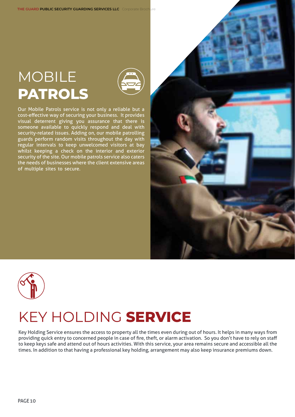## MOBILE **PATROLS**



Our Mobile Patrols service is not only a reliable but a cost-effective way of securing your business. It provides visual deterrent giving you assurance that there is someone available to quickly respond and deal with security-related issues. Adding on, our mobile patrolling guards perform random visits throughout the day with regular intervals to keep unwelcomed visitors at bay whilst keeping a check on the interior and exterior security of the site. Our mobile patrols service also caters the needs of businesses where the client extensive areas of multiple sites to secure.





### KEY HOLDING **SERVICE**

Key Holding Service ensures the access to property all the times even during out of hours. It helps in many ways from providing quick entry to concerned people in case of fire, theft, or alarm activation. So you don't have to rely on staff to keep keys safe and attend out of hours activities. With this service, your area remains secure and accessible all the times. In addition to that having a professional key holding, arrangement may also keep insurance premiums down.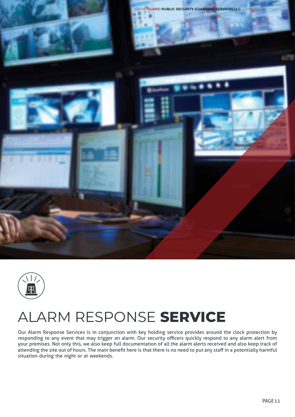



### ALARM RESPONSE **SERVICE**

Our Alarm Response Services is in conjunction with key holding service provides around the clock protection by responding to any event that may trigger an alarm. Our security officers quickly respond to any alarm alert from your premises. Not only this, we also keep full documentation of all the alarm alerts received and also keep track of attending the site out of hours. The main benefit here is that there is no need to put any staff in a potentially harmful situation during the night or at weekends.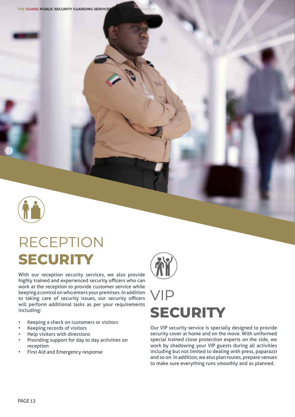

# RECEPTION **SECURITY**

With our reception security services, we also provide highly trained and experienced security officers who can work at the reception to provide customer service while keeping a control on who enters your premises. In addition to taking care of security issues, our security officers will perform additional tasks as per your requirements including:

- Keeping a check on customers or visitors
- Keeping records of visitors
- Help visitors with directions
- Providing support for day to day activities on reception
- First Aid and Emergency response



## VIP **SECURITY**

Our VIP security service is specially designed to provide security cover at home and on the move. With uniformed special trained close protection experts on the side, we work by shadowing your VIP guests during all activities including but not limited to dealing with press, paparazzi and so on. In addition, we also plan routes, prepare venues to make sure everything runs smoothly and as planned.